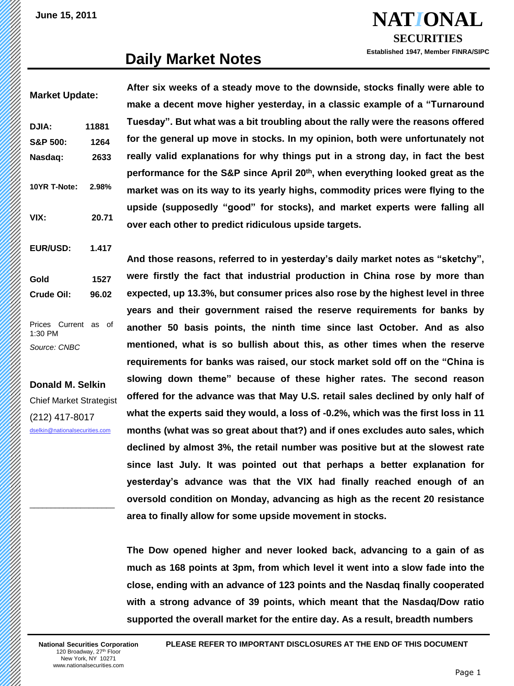**NAT***I***ONAL SECURITIES**

**Established 1947, Member FINRA/SIPC**

### **Daily Market Notes**

**After six weeks of a steady move to the downside, stocks finally were able to make a decent move higher yesterday, in a classic example of a "Turnaround Tuesday". But what was a bit troubling about the rally were the reasons offered for the general up move in stocks. In my opinion, both were unfortunately not really valid explanations for why things put in a strong day, in fact the best performance for the S&P since April 20th, when everything looked great as the market was on its way to its yearly highs, commodity prices were flying to the upside (supposedly "good" for stocks), and market experts were falling all over each other to predict ridiculous upside targets. Market Update: DJIA: 11881 S&P 500: 1264 Nasdaq: 2633 10YR T-Note: 2.98% VIX: 20.71**

> **And those reasons, referred to in yesterday's daily market notes as "sketchy", were firstly the fact that industrial production in China rose by more than expected, up 13.3%, but consumer prices also rose by the highest level in three years and their government raised the reserve requirements for banks by another 50 basis points, the ninth time since last October. And as also mentioned, what is so bullish about this, as other times when the reserve requirements for banks was raised, our stock market sold off on the "China is slowing down theme" because of these higher rates. The second reason offered for the advance was that May U.S. retail sales declined by only half of what the experts said they would, a loss of -0.2%, which was the first loss in 11 months (what was so great about that?) and if ones excludes auto sales, which declined by almost 3%, the retail number was positive but at the slowest rate since last July. It was pointed out that perhaps a better explanation for yesterday's advance was that the VIX had finally reached enough of an oversold condition on Monday, advancing as high as the recent 20 resistance area to finally allow for some upside movement in stocks.**

**The Dow opened higher and never looked back, advancing to a gain of as much as 168 points at 3pm, from which level it went into a slow fade into the close, ending with an advance of 123 points and the Nasdaq finally cooperated with a strong advance of 39 points, which meant that the Nasdaq/Dow ratio supported the overall market for the entire day. As a result, breadth numbers**

**Donald M. Selkin** Chief Market Strategist

**EUR/USD: 1.417**

**Gold 1527 Crude Oil: 96.02**

Prices Current as of

1:30 PM *Source: CNBC*

(212) 417-8017 [dselkin@nationalsecurities.com](mailto:dselkin@nationalsecurities.com)

 $\_$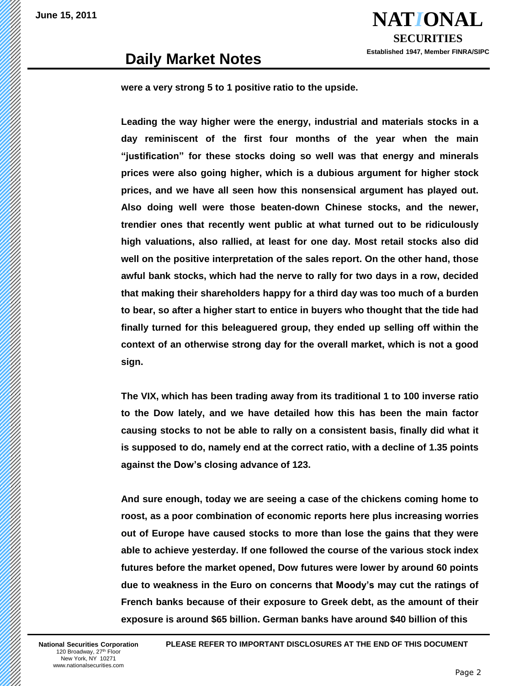

### **Daily Market Notes**

**were a very strong 5 to 1 positive ratio to the upside.**

**Leading the way higher were the energy, industrial and materials stocks in a day reminiscent of the first four months of the year when the main "justification" for these stocks doing so well was that energy and minerals prices were also going higher, which is a dubious argument for higher stock prices, and we have all seen how this nonsensical argument has played out. Also doing well were those beaten-down Chinese stocks, and the newer, trendier ones that recently went public at what turned out to be ridiculously high valuations, also rallied, at least for one day. Most retail stocks also did well on the positive interpretation of the sales report. On the other hand, those awful bank stocks, which had the nerve to rally for two days in a row, decided that making their shareholders happy for a third day was too much of a burden to bear, so after a higher start to entice in buyers who thought that the tide had finally turned for this beleaguered group, they ended up selling off within the context of an otherwise strong day for the overall market, which is not a good sign.**

**The VIX, which has been trading away from its traditional 1 to 100 inverse ratio to the Dow lately, and we have detailed how this has been the main factor causing stocks to not be able to rally on a consistent basis, finally did what it is supposed to do, namely end at the correct ratio, with a decline of 1.35 points against the Dow's closing advance of 123.**

**And sure enough, today we are seeing a case of the chickens coming home to roost, as a poor combination of economic reports here plus increasing worries out of Europe have caused stocks to more than lose the gains that they were able to achieve yesterday. If one followed the course of the various stock index futures before the market opened, Dow futures were lower by around 60 points due to weakness in the Euro on concerns that Moody's may cut the ratings of French banks because of their exposure to Greek debt, as the amount of their exposure is around \$65 billion. German banks have around \$40 billion of this**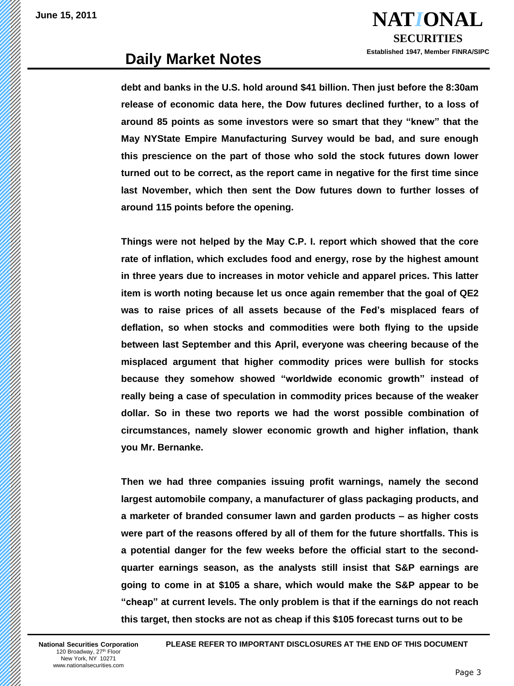**NAT***I***ONAL SECURITIES Established 1947, Member FINRA/SIPC**

## **Daily Market Notes**

**debt and banks in the U.S. hold around \$41 billion. Then just before the 8:30am release of economic data here, the Dow futures declined further, to a loss of around 85 points as some investors were so smart that they "knew" that the May NYState Empire Manufacturing Survey would be bad, and sure enough this prescience on the part of those who sold the stock futures down lower turned out to be correct, as the report came in negative for the first time since last November, which then sent the Dow futures down to further losses of around 115 points before the opening.**

**Things were not helped by the May C.P. I. report which showed that the core rate of inflation, which excludes food and energy, rose by the highest amount in three years due to increases in motor vehicle and apparel prices. This latter item is worth noting because let us once again remember that the goal of QE2 was to raise prices of all assets because of the Fed's misplaced fears of deflation, so when stocks and commodities were both flying to the upside between last September and this April, everyone was cheering because of the misplaced argument that higher commodity prices were bullish for stocks because they somehow showed "worldwide economic growth" instead of really being a case of speculation in commodity prices because of the weaker dollar. So in these two reports we had the worst possible combination of circumstances, namely slower economic growth and higher inflation, thank you Mr. Bernanke.**

**Then we had three companies issuing profit warnings, namely the second largest automobile company, a manufacturer of glass packaging products, and a marketer of branded consumer lawn and garden products – as higher costs were part of the reasons offered by all of them for the future shortfalls. This is a potential danger for the few weeks before the official start to the secondquarter earnings season, as the analysts still insist that S&P earnings are going to come in at \$105 a share, which would make the S&P appear to be "cheap" at current levels. The only problem is that if the earnings do not reach this target, then stocks are not as cheap if this \$105 forecast turns out to be**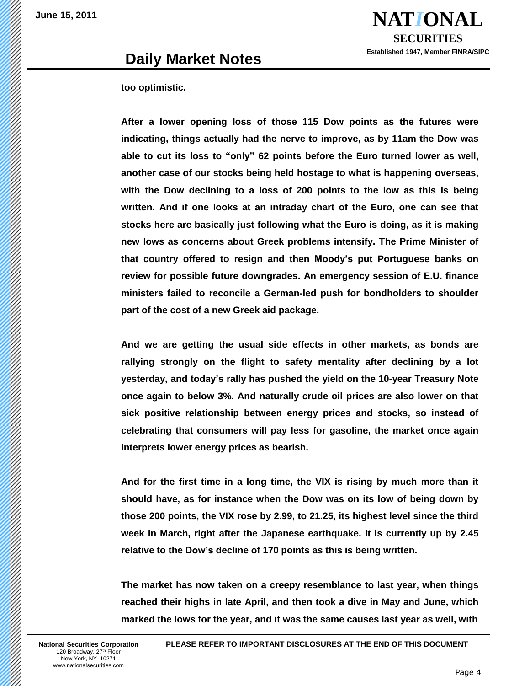

### **Daily Market Notes**

#### **too optimistic.**

**After a lower opening loss of those 115 Dow points as the futures were indicating, things actually had the nerve to improve, as by 11am the Dow was able to cut its loss to "only" 62 points before the Euro turned lower as well, another case of our stocks being held hostage to what is happening overseas, with the Dow declining to a loss of 200 points to the low as this is being written. And if one looks at an intraday chart of the Euro, one can see that stocks here are basically just following what the Euro is doing, as it is making new lows as concerns about Greek problems intensify. The Prime Minister of that country offered to resign and then Moody's put Portuguese banks on review for possible future downgrades. An emergency session of E.U. finance ministers failed to reconcile a German-led push for bondholders to shoulder part of the cost of a new Greek aid package.**

**And we are getting the usual side effects in other markets, as bonds are rallying strongly on the flight to safety mentality after declining by a lot yesterday, and today's rally has pushed the yield on the 10-year Treasury Note once again to below 3%. And naturally crude oil prices are also lower on that sick positive relationship between energy prices and stocks, so instead of celebrating that consumers will pay less for gasoline, the market once again interprets lower energy prices as bearish.**

**And for the first time in a long time, the VIX is rising by much more than it should have, as for instance when the Dow was on its low of being down by those 200 points, the VIX rose by 2.99, to 21.25, its highest level since the third week in March, right after the Japanese earthquake. It is currently up by 2.45 relative to the Dow's decline of 170 points as this is being written.**

**The market has now taken on a creepy resemblance to last year, when things reached their highs in late April, and then took a dive in May and June, which marked the lows for the year, and it was the same causes last year as well, with**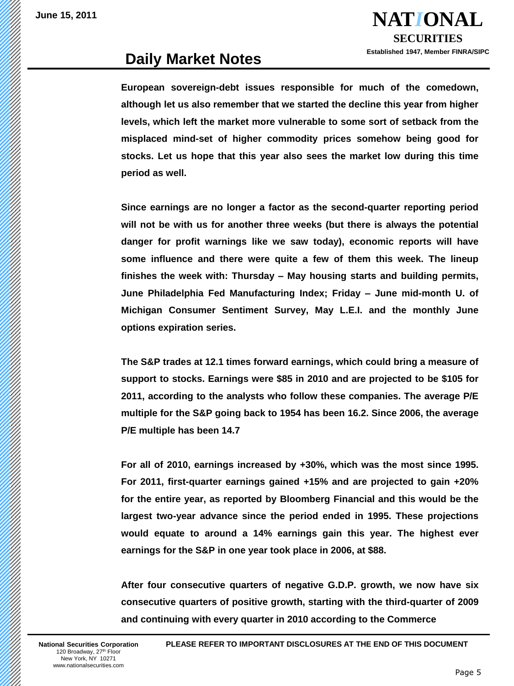

## **Daily Market Notes**

**European sovereign-debt issues responsible for much of the comedown, although let us also remember that we started the decline this year from higher levels, which left the market more vulnerable to some sort of setback from the misplaced mind-set of higher commodity prices somehow being good for stocks. Let us hope that this year also sees the market low during this time period as well.**

**Since earnings are no longer a factor as the second-quarter reporting period will not be with us for another three weeks (but there is always the potential danger for profit warnings like we saw today), economic reports will have some influence and there were quite a few of them this week. The lineup finishes the week with: Thursday – May housing starts and building permits, June Philadelphia Fed Manufacturing Index; Friday – June mid-month U. of Michigan Consumer Sentiment Survey, May L.E.I. and the monthly June options expiration series.**

**The S&P trades at 12.1 times forward earnings, which could bring a measure of support to stocks. Earnings were \$85 in 2010 and are projected to be \$105 for 2011, according to the analysts who follow these companies. The average P/E multiple for the S&P going back to 1954 has been 16.2. Since 2006, the average P/E multiple has been 14.7**

**For all of 2010, earnings increased by +30%, which was the most since 1995. For 2011, first-quarter earnings gained +15% and are projected to gain +20% for the entire year, as reported by Bloomberg Financial and this would be the largest two-year advance since the period ended in 1995. These projections would equate to around a 14% earnings gain this year. The highest ever earnings for the S&P in one year took place in 2006, at \$88.**

**After four consecutive quarters of negative G.D.P. growth, we now have six consecutive quarters of positive growth, starting with the third-quarter of 2009 and continuing with every quarter in 2010 according to the Commerce**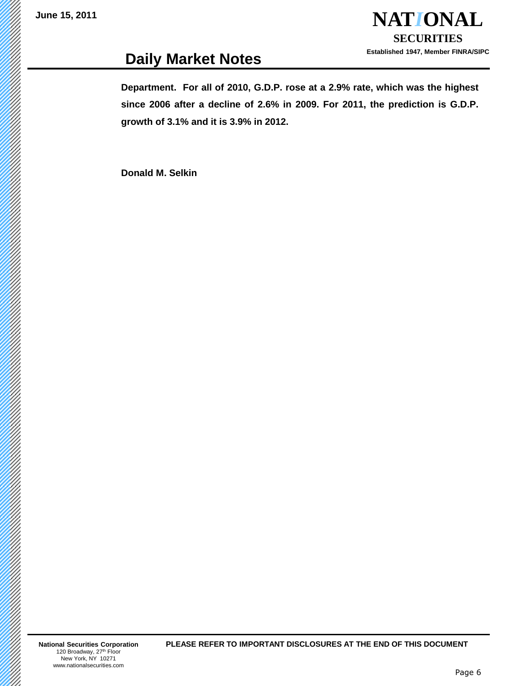**NAT***I***ONAL SECURITIES Established 1947, Member FINRA/SIPC**

# **Daily Market Notes**

**Department. For all of 2010, G.D.P. rose at a 2.9% rate, which was the highest since 2006 after a decline of 2.6% in 2009. For 2011, the prediction is G.D.P. growth of 3.1% and it is 3.9% in 2012.**

**Donald M. Selkin**